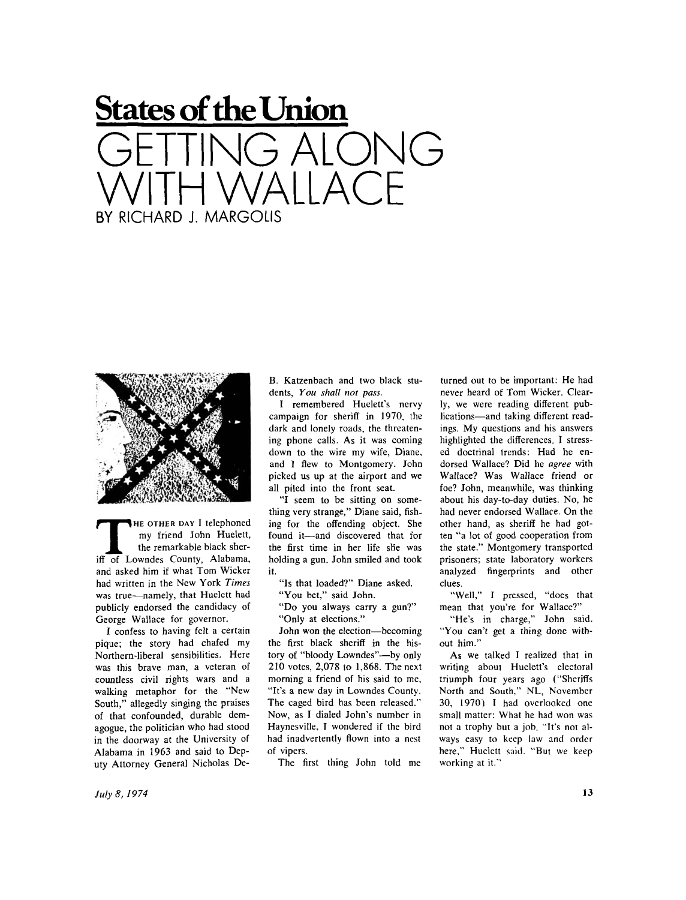## **States of the Union**  GETTING ALONG WITH WALLACE BY RICHARD J. MARGOLIS



**THE OTHER DAY I telephoned**<br>
my friend John Huelett,<br>
the remarkable black sher-<br>
iff of Lowndes County, Alabama, **HE OTHER DAY** I telephoned my friend John Huelett, the remarkable black sherand asked him if what Tom Wicker had written in the New York *Times*  was true—namely, that Huelett had publicly endorsed the candidacy of George Wallace for governor.

I confess to having felt a certain pique; the story had chafed my Northern-liberal sensibilities. Here was this brave man, a veteran of countless civil rights wars and a walking metaphor for the "New South," allegedly singing the praises of that confounded, durable demagogue, the politician who had stood in the doorway at the University of Alabama in 1963 and said to Deputy Attorney General Nicholas DeB. Katzenbach and two black students, *You shall not pass.* 

I remembered Huelett's nervy campaign for sheriff in 1970, the dark and lonely roads, the threatening phone calls. As it was coming down to the wire my wife, Diane, and I flew to Montgomery. John picked us up at the airport and we all piled into the front seat.

"I seem to be sitting on something very strange," Diane said, fishing for the offending object. She found it—and discovered that for the first time in her life she was holding a gun. John smiled and took it.

"Is that loaded?" Diane asked.

"You bet," said John.

" Do you always carry a gun?" "Only at elections."

John won the election—becoming the first black sheriff in the history of "bloody Lowndes"—by only 210 votes, 2,078 to 1,868. The next morning a friend of his said to me, "It's a new day in Lowndes County. The caged bird has been released." Now, as I dialed John's number in Haynesville, I wondered if the bird had inadvertently flown into a nest of vipers.

The first thing John told me

turned out to be important: He had never heard of Tom Wicker. Clearly, we were reading different publications—and taking different readings. My questions and his answers highlighted the differences. I stressed doctrinal trends: Had he endorsed Wallace? Did he *agree* with Wallace? Was Wallace friend or foe? John, meanwhile, was thinking about his day-to-day duties. No, he had never endorsed Wallace. On the other hand, as sheriff he had gotten "a lot of good cooperation from the state." Montgomery transported prisoners; state laboratory workers analyzed fingerprints and other clues.

"Well," I pressed, "does that mean that you're for Wallace?"

"He's in charge," John said. "You can't get a thing done without him."

As we talked I realized that in writing about Huelett's electoral triumph four years ago ("Sheriffs North and South," NL. November 30, 1970) I had overlooked one small matter: What he had won was not a trophy but a job. "It's not always easy to keep law and order here," Huelett said. "But we keep working at it."